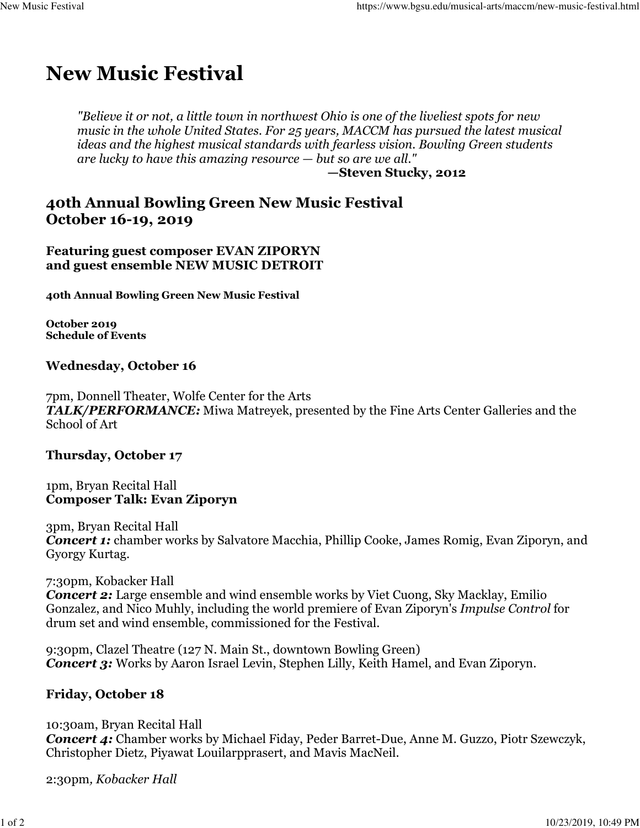# **New Music Festival**

*"Believe it or not, a little town in northwest Ohio is one of the liveliest spots for new music in the whole United States. For 25 years, MACCM has pursued the latest musical ideas and the highest musical standards with fearless vision. Bowling Green students are lucky to have this amazing resource — but so are we all."*

**—Steven Stucky, 2012**

## **40th Annual Bowling Green New Music Festival October 16-19, 2019**

#### **Featuring guest composer EVAN ZIPORYN and guest ensemble NEW MUSIC DETROIT**

**40th Annual Bowling Green New Music Festival**

**October 2019 Schedule of Events**

#### **Wednesday, October 16**

7pm, Donnell Theater, Wolfe Center for the Arts *TALK/PERFORMANCE:* Miwa Matreyek, presented by the Fine Arts Center Galleries and the School of Art

#### **Thursday, October 17**

1pm, Bryan Recital Hall **Composer Talk: Evan Ziporyn**

3pm, Bryan Recital Hall **Concert 1:** chamber works by Salvatore Macchia, Phillip Cooke, James Romig, Evan Ziporyn, and Gyorgy Kurtag.

7:30pm, Kobacker Hall *Concert 2:* Large ensemble and wind ensemble works by Viet Cuong, Sky Macklay, Emilio Gonzalez, and Nico Muhly, including the world premiere of Evan Ziporyn's *Impulse Control* for drum set and wind ensemble, commissioned for the Festival.

9:30pm, Clazel Theatre (127 N. Main St., downtown Bowling Green) *Concert 3:* Works by Aaron Israel Levin, Stephen Lilly, Keith Hamel, and Evan Ziporyn.

#### **Friday, October 18**

10:30am, Bryan Recital Hall *Concert 4:* Chamber works by Michael Fiday, Peder Barret-Due, Anne M. Guzzo, Piotr Szewczyk, Christopher Dietz, Piyawat Louilarpprasert, and Mavis MacNeil.

2:30pm*, Kobacker Hall*